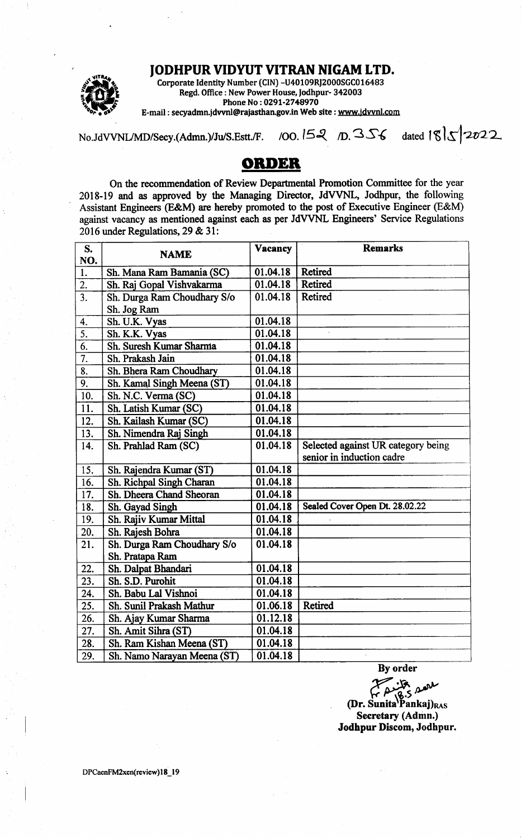## JODHPUR VIDYUT VITRAN NIGAM LTD.



Corporate ldentity Number (CIN) -U40109RJz000SGC016483 Regd. Office : New Power House, Jodhpur- 342003 Phone No: 029l-2748970 E-mail : secyadmn.idwnl@rajasthan.gov.in Web site : wwwidwnl.com

No.JdVVNL/MD/Secy.(Admn.)/Ju/S.Estt./F. /00. 152 /D. 356 dated  $\frac{18}{5}$  2022

## ORDER

On the recommendation of Review Deparfrnental Promotion Committee for the year 2018-19 and as approved by the Managing Director, JdVVNL, Jodhpur, the following Assistant Engineers (E&M) are hereby promoted to the post of Executive Engineer (E&M) against vacancy as mentioned against each as per JdVVNL Engineers' Service Regulations 2016 under Regulations, 29 & 31:

| S.<br>NO.         | <b>NAME</b>                 | Vacancy  | <b>Remarks</b>                                                  |
|-------------------|-----------------------------|----------|-----------------------------------------------------------------|
| 1.                | Sh. Mana Ram Bamania (SC)   | 01.04.18 | <b>Retired</b>                                                  |
| 2.                | Sh. Raj Gopal Vishvakarma   | 01.04.18 | <b>Retired</b>                                                  |
| $\overline{3}$ .  | Sh. Durga Ram Choudhary S/o | 01.04.18 | Retired                                                         |
|                   | Sh. Jog Ram                 |          |                                                                 |
| 4.                | Sh. U.K. Vyas               | 01.04.18 |                                                                 |
| $\overline{5}$ .  | Sh. K.K. Vyas               | 01.04.18 |                                                                 |
| $\overline{6}$ .  | Sh. Suresh Kumar Sharma     | 01.04.18 |                                                                 |
| $\overline{7}$ .  | Sh. Prakash Jain            | 01.04.18 |                                                                 |
| 8.                | Sh. Bhera Ram Choudhary     | 01.04.18 |                                                                 |
| 9.                | Sh. Kamal Singh Meena (ST)  | 01.04.18 |                                                                 |
| 10.               | Sh. N.C. Verma (SC)         | 01.04.18 |                                                                 |
| $\overline{11}$ . | Sh. Latish Kumar (SC)       | 01.04.18 |                                                                 |
| 12.               | Sh. Kailash Kumar (SC)      | 01.04.18 |                                                                 |
| $\overline{13}$ . | Sh. Nimendra Raj Singh      | 01.04.18 |                                                                 |
| 14.               | Sh. Prahlad Ram (SC)        | 01.04.18 | Selected against UR category being<br>senior in induction cadre |
| 15.               | Sh. Rajendra Kumar (ST)     | 01.04.18 |                                                                 |
| 16.               | Sh. Richpal Singh Charan    | 01.04.18 |                                                                 |
| 17.               | Sh. Dheera Chand Sheoran    | 01.04.18 |                                                                 |
| 18.               | Sh. Gayad Singh             | 01.04.18 | Sealed Cover Open Dt. 28.02.22                                  |
| 19.               | Sh. Rajiv Kumar Mittal      | 01.04.18 |                                                                 |
| 20.               | Sh. Rajesh Bohra            | 01.04.18 |                                                                 |
| 21.               | Sh. Durga Ram Choudhary S/o | 01.04.18 |                                                                 |
|                   | Sh. Pratapa Ram             |          |                                                                 |
| 22.               | Sh. Dalpat Bhandari         | 01.04.18 |                                                                 |
| 23.               | Sh. S.D. Purohit            | 01.04.18 |                                                                 |
| 24.               | Sh. Babu Lal Vishnoi        | 01.04.18 |                                                                 |
| 25.               | Sh. Sunil Prakash Mathur    | 01.06.18 | <b>Retired</b>                                                  |
| 26.               | Sh. Ajay Kumar Sharma       | 01.12.18 |                                                                 |
| 27.               | Sh. Amit Sihra (ST)         | 01.04.18 |                                                                 |
| 28.               | Sh. Ram Kishan Meena (ST)   | 01.04.18 |                                                                 |
| 29.               | Sh. Namo Narayan Meena (ST) | 01.04.18 | $\mathbf{r}$                                                    |

By order

 ${f}^{\prime\prime}_{\rho}$  de  $\alpha$ <br>(Dr. Sunita<sup>r</sup>Pankaj)<sub>RAS</sub> Secretary (Admn.) Jodhpur Discom, Jodhpur.

DPCaenFM2xen(review) 18\_19